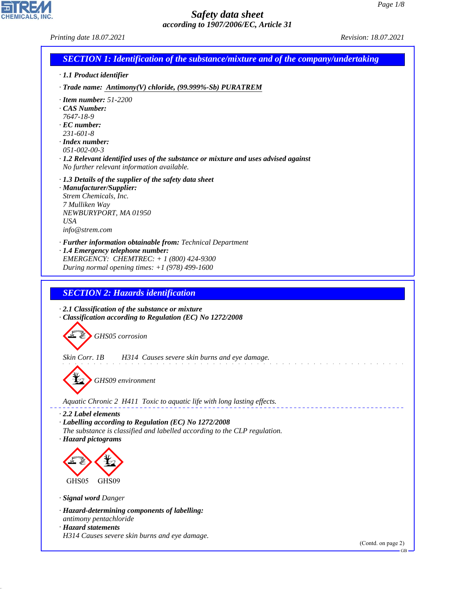*Printing date 18.07.2021 Revision: 18.07.2021*

CHEMICALS, INC.

44.1.1

| <b>SECTION 1: Identification of the substance/mixture and of the company/undertaking</b>                                                                                                                                                           |
|----------------------------------------------------------------------------------------------------------------------------------------------------------------------------------------------------------------------------------------------------|
| · 1.1 Product identifier                                                                                                                                                                                                                           |
| $\cdot$ Trade name: Antimony(V) chloride, (99.999%-Sb) PURATREM                                                                                                                                                                                    |
| $\cdot$ Item number: 51-2200                                                                                                                                                                                                                       |
| CAS Number:<br>7647-18-9                                                                                                                                                                                                                           |
| $\cdot$ EC number:                                                                                                                                                                                                                                 |
| $231 - 601 - 8$<br>$\cdot$ Index number:                                                                                                                                                                                                           |
| $051 - 002 - 00 - 3$<br>$\cdot$ 1.2 Relevant identified uses of the substance or mixture and uses advised against                                                                                                                                  |
| No further relevant information available.                                                                                                                                                                                                         |
| $\cdot$ 1.3 Details of the supplier of the safety data sheet<br>· Manufacturer/Supplier:                                                                                                                                                           |
| Strem Chemicals, Inc.                                                                                                                                                                                                                              |
| 7 Mulliken Way<br>NEWBURYPORT, MA 01950                                                                                                                                                                                                            |
| <b>USA</b>                                                                                                                                                                                                                                         |
| info@strem.com                                                                                                                                                                                                                                     |
| · Further information obtainable from: Technical Department<br>· 1.4 Emergency telephone number:                                                                                                                                                   |
| EMERGENCY: CHEMTREC: $+ 1 (800) 424 - 9300$<br>During normal opening times: $+1$ (978) 499-1600                                                                                                                                                    |
|                                                                                                                                                                                                                                                    |
| <b>SECTION 2: Hazards identification</b>                                                                                                                                                                                                           |
| Classification according to Regulation (EC) No 1272/2008<br>GHS05 corrosion<br>Skin Corr. 1B<br>H314 Causes severe skin burns and eye damage.<br>¥<br>GHS09 environment<br>Aquatic Chronic 2 H411 Toxic to aquatic life with long lasting effects. |
| $\cdot$ 2.2 Label elements                                                                                                                                                                                                                         |
| · Labelling according to Regulation (EC) No 1272/2008<br>The substance is classified and labelled according to the CLP regulation.                                                                                                                 |
| · Hazard pictograms                                                                                                                                                                                                                                |
|                                                                                                                                                                                                                                                    |
| GHS05<br>GHS09                                                                                                                                                                                                                                     |
| · Signal word Danger                                                                                                                                                                                                                               |
| · Hazard-determining components of labelling:<br>antimony pentachloride<br>· Hazard statements                                                                                                                                                     |
| H314 Causes severe skin burns and eye damage.                                                                                                                                                                                                      |
| (Contd. on page 2)<br>$GB -$                                                                                                                                                                                                                       |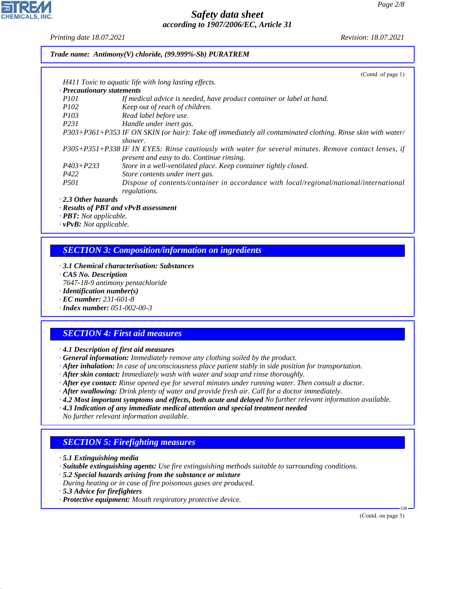*Printing date 18.07.2021 Revision: 18.07.2021*

*Trade name: Antimony(V) chloride, (99.999%-Sb) PURATREM*

|                                  | (Contd. of page $1$ )                                                                                         |
|----------------------------------|---------------------------------------------------------------------------------------------------------------|
|                                  | H411 Toxic to aquatic life with long lasting effects.                                                         |
| $\cdot$ Precautionary statements |                                                                                                               |
| <i>P101</i>                      | If medical advice is needed, have product container or label at hand.                                         |
| <i>P102</i>                      | Keep out of reach of children.                                                                                |
| <i>P103</i>                      | Read label before use.                                                                                        |
| P <sub>231</sub>                 | Handle under inert gas.                                                                                       |
|                                  | $P303+P361+P353$ IF ON SKIN (or hair): Take off immediately all contaminated clothing. Rinse skin with water/ |
|                                  | shower.                                                                                                       |
|                                  | P305+P351+P338 IF IN EYES: Rinse cautiously with water for several minutes. Remove contact lenses, if         |
|                                  | present and easy to do. Continue rinsing.                                                                     |
| $P403 + P233$                    | Store in a well-ventilated place. Keep container tightly closed.                                              |
| P422                             | Store contents under inert gas.                                                                               |
| <i>P501</i>                      | Dispose of contents/container in accordance with local/regional/national/international                        |
|                                  | regulations.                                                                                                  |
| $\cdot$ 2.3 Other hazards        |                                                                                                               |

*· Results of PBT and vPvB assessment*

*· PBT: Not applicable.*

*· vPvB: Not applicable.*

## *SECTION 3: Composition/information on ingredients*

- *· 3.1 Chemical characterisation: Substances*
- *· CAS No. Description*
- *7647-18-9 antimony pentachloride*
- *· Identification number(s)*
- *· EC number: 231-601-8*
- *· Index number: 051-002-00-3*

## *SECTION 4: First aid measures*

*· 4.1 Description of first aid measures*

- *· General information: Immediately remove any clothing soiled by the product.*
- *· After inhalation: In case of unconsciousness place patient stably in side position for transportation.*
- *· After skin contact: Immediately wash with water and soap and rinse thoroughly.*
- *· After eye contact: Rinse opened eye for several minutes under running water. Then consult a doctor.*
- *· After swallowing: Drink plenty of water and provide fresh air. Call for a doctor immediately.*
- *· 4.2 Most important symptoms and effects, both acute and delayed No further relevant information available.*
- *· 4.3 Indication of any immediate medical attention and special treatment needed*
- *No further relevant information available.*

# *SECTION 5: Firefighting measures*

- *· 5.1 Extinguishing media*
- *· Suitable extinguishing agents: Use fire extinguishing methods suitable to surrounding conditions.*
- *· 5.2 Special hazards arising from the substance or mixture*
- *During heating or in case of fire poisonous gases are produced.*
- *· 5.3 Advice for firefighters*

44.1.1

*· Protective equipment: Mouth respiratory protective device.*

(Contd. on page 3)

GB

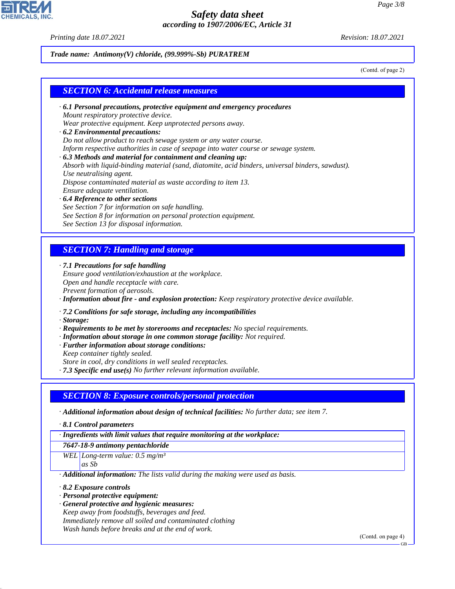*Printing date 18.07.2021 Revision: 18.07.2021*

#### *Trade name: Antimony(V) chloride, (99.999%-Sb) PURATREM*

(Contd. of page 2)

#### *SECTION 6: Accidental release measures*

*· 6.1 Personal precautions, protective equipment and emergency procedures Mount respiratory protective device.*

*Wear protective equipment. Keep unprotected persons away.*

- *· 6.2 Environmental precautions: Do not allow product to reach sewage system or any water course. Inform respective authorities in case of seepage into water course or sewage system. · 6.3 Methods and material for containment and cleaning up: Absorb with liquid-binding material (sand, diatomite, acid binders, universal binders, sawdust). Use neutralising agent. Dispose contaminated material as waste according to item 13. Ensure adequate ventilation. · 6.4 Reference to other sections*
- *See Section 7 for information on safe handling. See Section 8 for information on personal protection equipment. See Section 13 for disposal information.*

## *SECTION 7: Handling and storage*

*· 7.1 Precautions for safe handling*

*Ensure good ventilation/exhaustion at the workplace. Open and handle receptacle with care. Prevent formation of aerosols.*

*· Information about fire - and explosion protection: Keep respiratory protective device available.*

*· 7.2 Conditions for safe storage, including any incompatibilities*

*· Storage:*

- *· Requirements to be met by storerooms and receptacles: No special requirements.*
- *· Information about storage in one common storage facility: Not required.*
- *· Further information about storage conditions:*

*Keep container tightly sealed.*

*Store in cool, dry conditions in well sealed receptacles.*

*· 7.3 Specific end use(s) No further relevant information available.*

#### *SECTION 8: Exposure controls/personal protection*

*· Additional information about design of technical facilities: No further data; see item 7.*

*· 8.1 Control parameters*

*· Ingredients with limit values that require monitoring at the workplace:*

*7647-18-9 antimony pentachloride*

*WEL Long-term value: 0.5 mg/m³ as Sb*

*· Additional information: The lists valid during the making were used as basis.*

*· 8.2 Exposure controls*

44.1.1

- *· Personal protective equipment:*
- *· General protective and hygienic measures: Keep away from foodstuffs, beverages and feed. Immediately remove all soiled and contaminated clothing Wash hands before breaks and at the end of work.*

(Contd. on page 4)

GB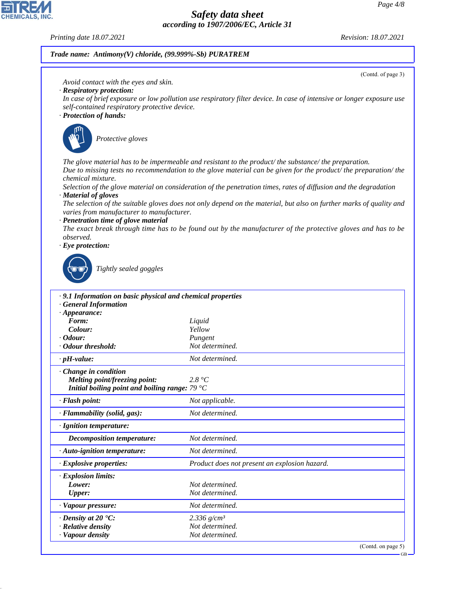GB

# *Safety data sheet according to 1907/2006/EC, Article 31*

#### *Printing date 18.07.2021 Revision: 18.07.2021*

**CHEMICALS** 

44.1.1

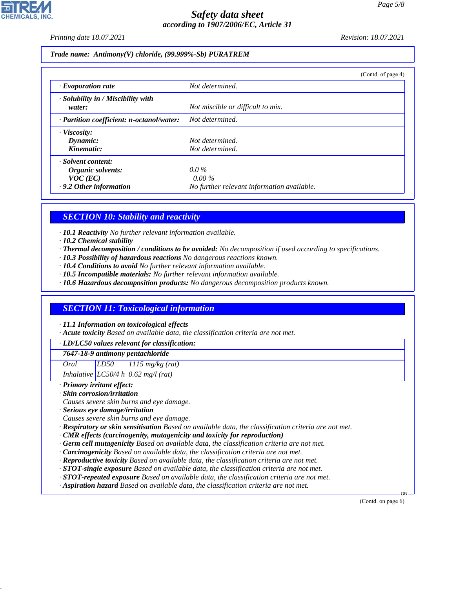*Printing date 18.07.2021 Revision: 18.07.2021*

*Trade name: Antimony(V) chloride, (99.999%-Sb) PURATREM*

|                                                    | (Contd. of page 4)                         |
|----------------------------------------------------|--------------------------------------------|
| $\cdot$ Evaporation rate                           | Not determined.                            |
| $\cdot$ Solubility in / Miscibility with<br>water: | Not miscible or difficult to mix.          |
| · Partition coefficient: n-octanol/water:          | Not determined.                            |
| · Viscosity:                                       |                                            |
| Dynamic:                                           | Not determined.                            |
| Kinematic:                                         | Not determined.                            |
| · Solvent content:                                 |                                            |
| Organic solvents:                                  | $0.0\%$                                    |
| $VOC$ (EC)                                         | $0.00\%$                                   |
| .9.2 Other information                             | No further relevant information available. |

# *SECTION 10: Stability and reactivity*

*· 10.1 Reactivity No further relevant information available.*

- *· 10.2 Chemical stability*
- *· Thermal decomposition / conditions to be avoided: No decomposition if used according to specifications.*
- *· 10.3 Possibility of hazardous reactions No dangerous reactions known.*
- *· 10.4 Conditions to avoid No further relevant information available.*
- *· 10.5 Incompatible materials: No further relevant information available.*
- *· 10.6 Hazardous decomposition products: No dangerous decomposition products known.*

## *SECTION 11: Toxicological information*

*· 11.1 Information on toxicological effects*

*· Acute toxicity Based on available data, the classification criteria are not met.*

#### *· LD/LC50 values relevant for classification:*

*7647-18-9 antimony pentachloride*

*Oral LD50 1115 mg/kg (rat)*

*Inhalative LC50/4 h 0.62 mg/l (rat)*

#### *· Primary irritant effect:*

44.1.1

*· Skin corrosion/irritation*

*Causes severe skin burns and eye damage.*

- *· Serious eye damage/irritation*
- *Causes severe skin burns and eye damage.*
- *· Respiratory or skin sensitisation Based on available data, the classification criteria are not met.*
- *· CMR effects (carcinogenity, mutagenicity and toxicity for reproduction)*
- *· Germ cell mutagenicity Based on available data, the classification criteria are not met.*
- *· Carcinogenicity Based on available data, the classification criteria are not met.*
- *· Reproductive toxicity Based on available data, the classification criteria are not met.*
- *· STOT-single exposure Based on available data, the classification criteria are not met.*
- *· STOT-repeated exposure Based on available data, the classification criteria are not met.*
- *· Aspiration hazard Based on available data, the classification criteria are not met.*

(Contd. on page 6)

GB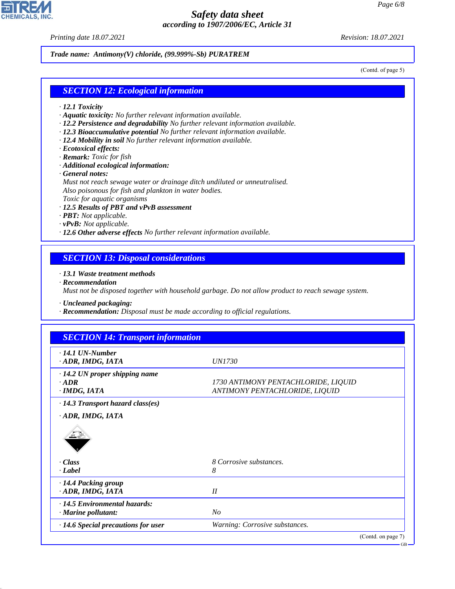*Printing date 18.07.2021 Revision: 18.07.2021*

**CHEMICALS, INC** 

*Trade name: Antimony(V) chloride, (99.999%-Sb) PURATREM*

(Contd. of page 5)

### *SECTION 12: Ecological information*

- *· 12.1 Toxicity*
- *· Aquatic toxicity: No further relevant information available.*
- *· 12.2 Persistence and degradability No further relevant information available.*
- *· 12.3 Bioaccumulative potential No further relevant information available.*
- *· 12.4 Mobility in soil No further relevant information available.*
- *· Ecotoxical effects:*
- *· Remark: Toxic for fish*
- *· Additional ecological information:*
- *· General notes:*

*Must not reach sewage water or drainage ditch undiluted or unneutralised. Also poisonous for fish and plankton in water bodies. Toxic for aquatic organisms*

- *· 12.5 Results of PBT and vPvB assessment*
- *· PBT: Not applicable.*
- *· vPvB: Not applicable.*
- *· 12.6 Other adverse effects No further relevant information available.*

### *SECTION 13: Disposal considerations*

*· 13.1 Waste treatment methods*

*· Recommendation*

44.1.1

*Must not be disposed together with household garbage. Do not allow product to reach sewage system.*

*· Uncleaned packaging:*

*· Recommendation: Disposal must be made according to official regulations.*

| <b>SECTION 14: Transport information</b>                       |                                                                       |
|----------------------------------------------------------------|-----------------------------------------------------------------------|
| $\cdot$ 14.1 UN-Number<br>· ADR, IMDG, IATA                    | <i>UN1730</i>                                                         |
| $\cdot$ 14.2 UN proper shipping name<br>$-ADR$<br>· IMDG, IATA | 1730 ANTIMONY PENTACHLORIDE, LIQUID<br>ANTIMONY PENTACHLORIDE, LIQUID |
| $\cdot$ 14.3 Transport hazard class(es)                        |                                                                       |
| · ADR, IMDG, IATA                                              |                                                                       |
|                                                                |                                                                       |
| · Class                                                        | 8 Corrosive substances.                                               |
| · Label                                                        | 8                                                                     |
| · 14.4 Packing group<br>· ADR, IMDG, IATA                      | II                                                                    |
| $\cdot$ 14.5 Environmental hazards:                            |                                                                       |
| · Marine pollutant:                                            | N <sub>O</sub>                                                        |
| $\cdot$ 14.6 Special precautions for user                      | Warning: Corrosive substances.                                        |
|                                                                | (Contd. on page 7)                                                    |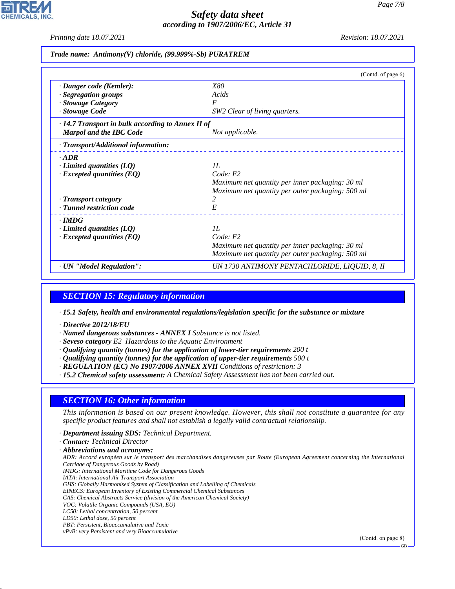*Printing date 18.07.2021 Revision: 18.07.2021*

*Trade name: Antimony(V) chloride, (99.999%-Sb) PURATREM*

|                                                         | (Contd. of page 6)                               |
|---------------------------------------------------------|--------------------------------------------------|
| · Danger code (Kemler):                                 | <i>X80</i>                                       |
| · Segregation groups                                    | Acids                                            |
| · Stowage Category                                      | E                                                |
| · Stowage Code                                          | SW2 Clear of living quarters.                    |
| $\cdot$ 14.7 Transport in bulk according to Annex II of |                                                  |
| <b>Marpol and the IBC Code</b>                          | Not applicable.                                  |
| · Transport/Additional information:                     |                                                  |
| $\cdot$ ADR                                             |                                                  |
| $\cdot$ Limited quantities (LQ)                         | II.                                              |
| $\cdot$ Excepted quantities (EQ)                        | Code: E2                                         |
|                                                         | Maximum net quantity per inner packaging: 30 ml  |
|                                                         | Maximum net quantity per outer packaging: 500 ml |
| · Transport category                                    | 2                                                |
| · Tunnel restriction code                               | E                                                |
| $\cdot$ IMDG                                            |                                                  |
| $\cdot$ Limited quantities (LQ)                         | II.                                              |
| $\cdot$ Excepted quantities (EQ)                        | Code: E2                                         |
|                                                         | Maximum net quantity per inner packaging: 30 ml  |
|                                                         | Maximum net quantity per outer packaging: 500 ml |
| · UN "Model Regulation":                                | UN 1730 ANTIMONY PENTACHLORIDE, LIQUID, 8, II    |

### *SECTION 15: Regulatory information*

*· 15.1 Safety, health and environmental regulations/legislation specific for the substance or mixture*

- *· Directive 2012/18/EU*
- *· Named dangerous substances ANNEX I Substance is not listed.*
- *· Seveso category E2 Hazardous to the Aquatic Environment*
- *· Qualifying quantity (tonnes) for the application of lower-tier requirements 200 t*
- *· Qualifying quantity (tonnes) for the application of upper-tier requirements 500 t*
- *· REGULATION (EC) No 1907/2006 ANNEX XVII Conditions of restriction: 3*
- *· 15.2 Chemical safety assessment: A Chemical Safety Assessment has not been carried out.*

#### *SECTION 16: Other information*

*This information is based on our present knowledge. However, this shall not constitute a guarantee for any specific product features and shall not establish a legally valid contractual relationship.*

- *· Department issuing SDS: Technical Department.*
- *· Contact: Technical Director*
- *· Abbreviations and acronyms:*

*ADR: Accord européen sur le transport des marchandises dangereuses par Route (European Agreement concerning the International Carriage of Dangerous Goods by Road)*

- *IMDG: International Maritime Code for Dangerous Goods*
- *IATA: International Air Transport Association*
- *GHS: Globally Harmonised System of Classification and Labelling of Chemicals*
- *EINECS: European Inventory of Existing Commercial Chemical Substances*
- *CAS: Chemical Abstracts Service (division of the American Chemical Society) VOC: Volatile Organic Compounds (USA, EU)*
- *LC50: Lethal concentration, 50 percent*
- *LD50: Lethal dose, 50 percent*

44.1.1

- *PBT: Persistent, Bioaccumulative and Toxic*
- *vPvB: very Persistent and very Bioaccumulative*

(Contd. on page 8)

GB